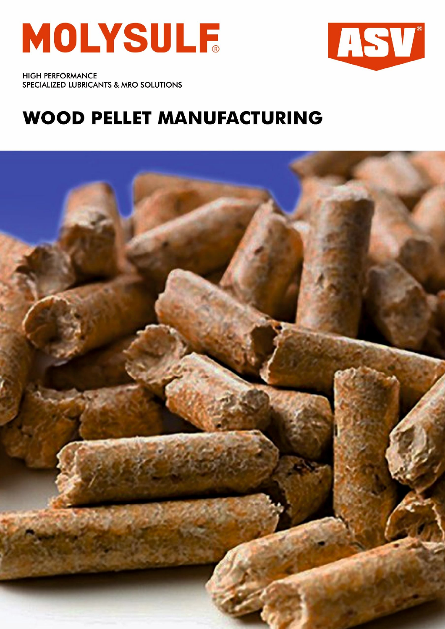



**HIGH PERFORMANCE** SPECIALIZED LUBRICANTS & MRO SOLUTIONS

## **WOOD PELLET MANUFACTURING**